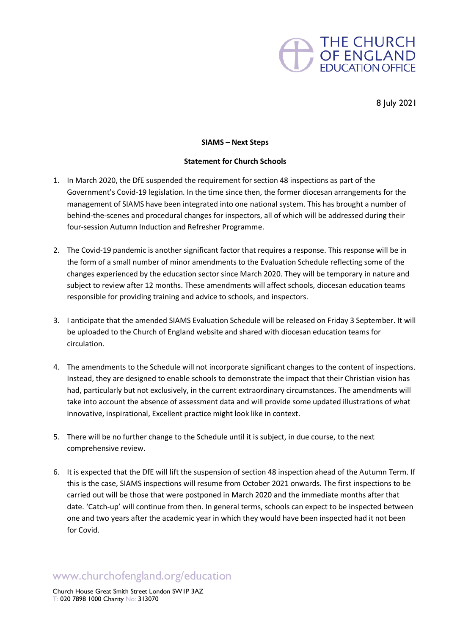

8 July 2021

## **SIAMS – Next Steps**

## **Statement for Church Schools**

- 1. In March 2020, the DfE suspended the requirement for section 48 inspections as part of the Government's Covid-19 legislation. In the time since then, the former diocesan arrangements for the management of SIAMS have been integrated into one national system. This has brought a number of behind-the-scenes and procedural changes for inspectors, all of which will be addressed during their four-session Autumn Induction and Refresher Programme.
- 2. The Covid-19 pandemic is another significant factor that requires a response. This response will be in the form of a small number of minor amendments to the Evaluation Schedule reflecting some of the changes experienced by the education sector since March 2020. They will be temporary in nature and subject to review after 12 months. These amendments will affect schools, diocesan education teams responsible for providing training and advice to schools, and inspectors.
- 3. I anticipate that the amended SIAMS Evaluation Schedule will be released on Friday 3 September. It will be uploaded to the Church of England website and shared with diocesan education teams for circulation.
- 4. The amendments to the Schedule will not incorporate significant changes to the content of inspections. Instead, they are designed to enable schools to demonstrate the impact that their Christian vision has had, particularly but not exclusively, in the current extraordinary circumstances. The amendments will take into account the absence of assessment data and will provide some updated illustrations of what innovative, inspirational, Excellent practice might look like in context.
- 5. There will be no further change to the Schedule until it is subject, in due course, to the next comprehensive review.
- 6. It is expected that the DfE will lift the suspension of section 48 inspection ahead of the Autumn Term. If this is the case, SIAMS inspections will resume from October 2021 onwards. The first inspections to be carried out will be those that were postponed in March 2020 and the immediate months after that date. 'Catch-up' will continue from then. In general terms, schools can expect to be inspected between one and two years after the academic year in which they would have been inspected had it not been for Covid.

## www.churchofengland.org/education